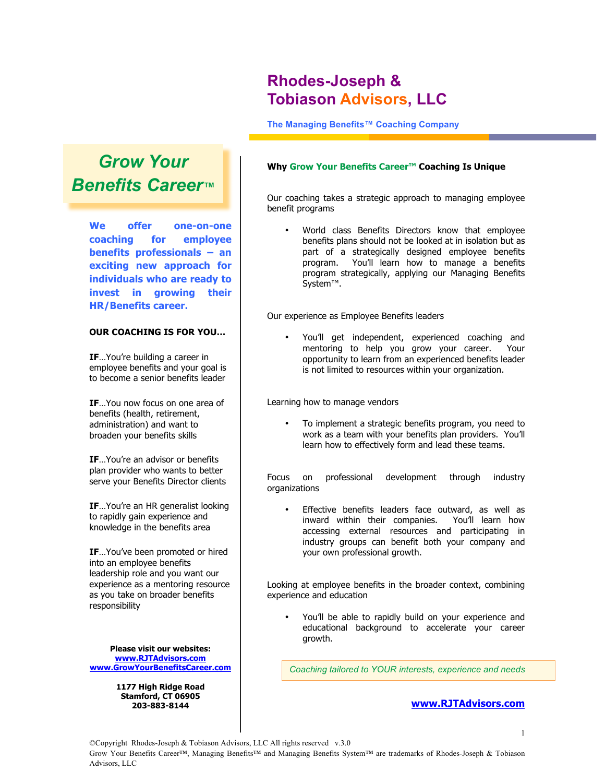# **Rhodes-Joseph & Tobiason Advisors, LLC**

**The Managing Benefits™ Coaching Company**

# *Grow Your Benefits Career™*

**We offer one-on-one coaching for employee benefits professionals – an exciting new approach for individuals who are ready to invest in growing their HR/Benefits career.**

#### **OUR COACHING IS FOR YOU…**

**IF**…You're building a career in employee benefits and your goal is to become a senior benefits leader

**IF**…You now focus on one area of benefits (health, retirement, administration) and want to broaden your benefits skills

**IF**…You're an advisor or benefits plan provider who wants to better serve your Benefits Director clients

**IF**…You're an HR generalist looking to rapidly gain experience and knowledge in the benefits area

**IF**…You've been promoted or hired into an employee benefits leadership role and you want our experience as a mentoring resource as you take on broader benefits responsibility

**Please visit our websites: www.RJTAdvisors.com www.GrowYourBenefitsCareer.com**

> **1177 High Ridge Road Stamford, CT 06905 203-883-8144**

#### **Why Grow Your Benefits Career™ Coaching Is Unique**

Our coaching takes a strategic approach to managing employee benefit programs

• World class Benefits Directors know that employee benefits plans should not be looked at in isolation but as part of a strategically designed employee benefits program. You'll learn how to manage a benefits program strategically, applying our Managing Benefits System™.

Our experience as Employee Benefits leaders

• You'll get independent, experienced coaching and mentoring to help you grow your career. opportunity to learn from an experienced benefits leader is not limited to resources within your organization.

Learning how to manage vendors

• To implement a strategic benefits program, you need to work as a team with your benefits plan providers. You'll learn how to effectively form and lead these teams.

Focus on professional development through industry organizations

Effective benefits leaders face outward, as well as inward within their companies. You'll learn how accessing external resources and participating in industry groups can benefit both your company and your own professional growth.

Looking at employee benefits in the broader context, combining experience and education

• You'll be able to rapidly build on your experience and educational background to accelerate your career growth.

*Coaching tailored to YOUR interests, experience and needs*

## **www.RJTAdvisors.com**